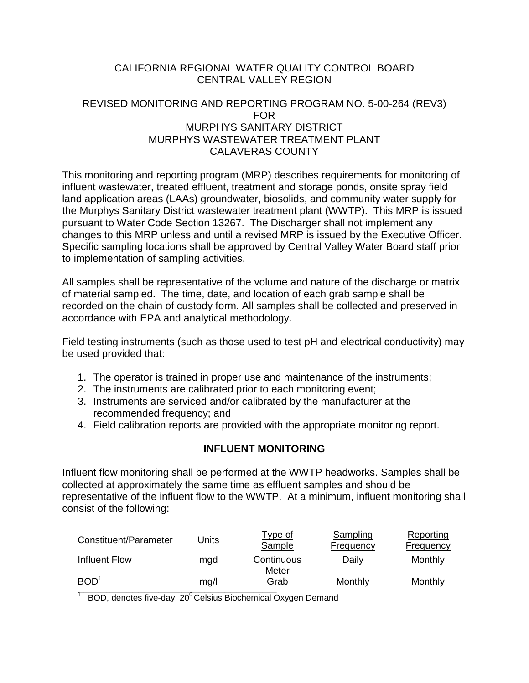# CALIFORNIA REGIONAL WATER QUALITY CONTROL BOARD CENTRAL VALLEY REGION

## REVISED MONITORING AND REPORTING PROGRAM NO. 5-00-264 (REV3) FOR MURPHYS SANITARY DISTRICT MURPHYS WASTEWATER TREATMENT PLANT CALAVERAS COUNTY

This monitoring and reporting program (MRP) describes requirements for monitoring of influent wastewater, treated effluent, treatment and storage ponds, onsite spray field land application areas (LAAs) groundwater, biosolids, and community water supply for the Murphys Sanitary District wastewater treatment plant (WWTP). This MRP is issued pursuant to Water Code Section 13267. The Discharger shall not implement any changes to this MRP unless and until a revised MRP is issued by the Executive Officer. Specific sampling locations shall be approved by Central Valley Water Board staff prior to implementation of sampling activities.

All samples shall be representative of the volume and nature of the discharge or matrix of material sampled. The time, date, and location of each grab sample shall be recorded on the chain of custody form. All samples shall be collected and preserved in accordance with EPA and analytical methodology.

Field testing instruments (such as those used to test pH and electrical conductivity) may be used provided that:

- 1. The operator is trained in proper use and maintenance of the instruments;
- 2. The instruments are calibrated prior to each monitoring event;
- 3. Instruments are serviced and/or calibrated by the manufacturer at the recommended frequency; and
- 4. Field calibration reports are provided with the appropriate monitoring report.

# **INFLUENT MONITORING**

Influent flow monitoring shall be performed at the WWTP headworks. Samples shall be collected at approximately the same time as effluent samples and should be representative of the influent flow to the WWTP. At a minimum, influent monitoring shall consist of the following:

| Constituent/Parameter | <u>Units</u> | <u>Type of</u><br><b>Sample</b> | Sampling<br><b>Frequency</b> | Reporting<br><b>Frequency</b> |
|-----------------------|--------------|---------------------------------|------------------------------|-------------------------------|
| Influent Flow         | mad          | Continuous<br>Meter             | Daily                        | Monthly                       |
| BOD <sup>1</sup>      | mq/l         | Grab                            | Monthly                      | Monthly                       |

 $^1$  BOD, denotes five-day, 20<sup>0</sup> Celsius Biochemical Oxygen Demand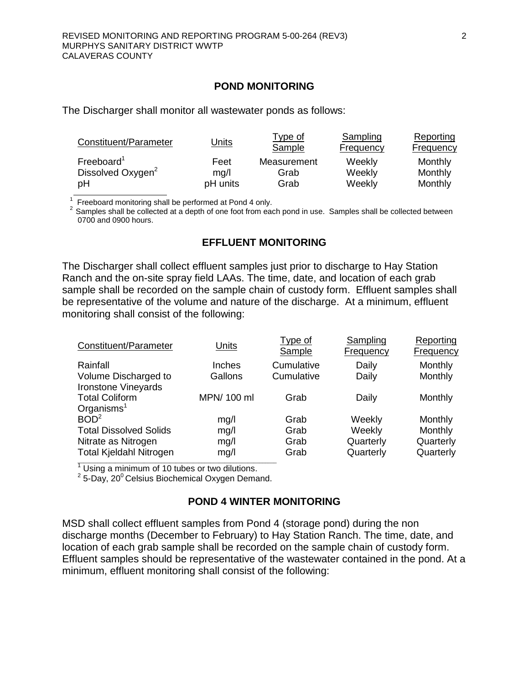#### **POND MONITORING**

The Discharger shall monitor all wastewater ponds as follows:

| Constituent/Parameter         | Units    | Type of<br>Sample | Sampling<br>Frequency | Reporting<br>Frequency |
|-------------------------------|----------|-------------------|-----------------------|------------------------|
| Freeboard <sup>1</sup>        | Feet     | Measurement       | Weekly                | Monthly                |
| Dissolved Oxygen <sup>2</sup> | mq/l     | Grab              | Weekly                | Monthly                |
| рH                            | pH units | Grab              | Weekly                | Monthly                |

 $1$  Freeboard monitoring shall be performed at Pond 4 only.

 $2$  Samples shall be collected at a depth of one foot from each pond in use. Samples shall be collected between 0700 and 0900 hours.

#### **EFFLUENT MONITORING**

The Discharger shall collect effluent samples just prior to discharge to Hay Station Ranch and the on-site spray field LAAs. The time, date, and location of each grab sample shall be recorded on the sample chain of custody form. Effluent samples shall be representative of the volume and nature of the discharge. At a minimum, effluent monitoring shall consist of the following:

| Constituent/Parameter                                                                                      | <b>Units</b>                 | Type of<br>Sample            | Sampling<br>Frequency                      | Reporting<br>Frequency                       |
|------------------------------------------------------------------------------------------------------------|------------------------------|------------------------------|--------------------------------------------|----------------------------------------------|
| Rainfall<br>Volume Discharged to<br>Ironstone Vineyards                                                    | <b>Inches</b><br>Gallons     | Cumulative<br>Cumulative     | Daily<br>Daily                             | Monthly<br>Monthly                           |
| <b>Total Coliform</b><br>Organisms $1$                                                                     | MPN/ 100 ml                  | Grab                         | Daily                                      | Monthly                                      |
| BOD <sup>2</sup><br><b>Total Dissolved Solids</b><br>Nitrate as Nitrogen<br><b>Total Kjeldahl Nitrogen</b> | mg/l<br>mg/l<br>mg/l<br>mg/l | Grab<br>Grab<br>Grab<br>Grab | Weekly<br>Weekly<br>Quarterly<br>Quarterly | Monthly<br>Monthly<br>Quarterly<br>Quarterly |

 $\frac{1}{2}$ Using a minimum of 10 tubes or two dilutions.

<sup>2</sup> 5-Day, 20<sup>°</sup> Celsius Biochemical Oxygen Demand.

#### **POND 4 WINTER MONITORING**

MSD shall collect effluent samples from Pond 4 (storage pond) during the non discharge months (December to February) to Hay Station Ranch. The time, date, and location of each grab sample shall be recorded on the sample chain of custody form. Effluent samples should be representative of the wastewater contained in the pond. At a minimum, effluent monitoring shall consist of the following: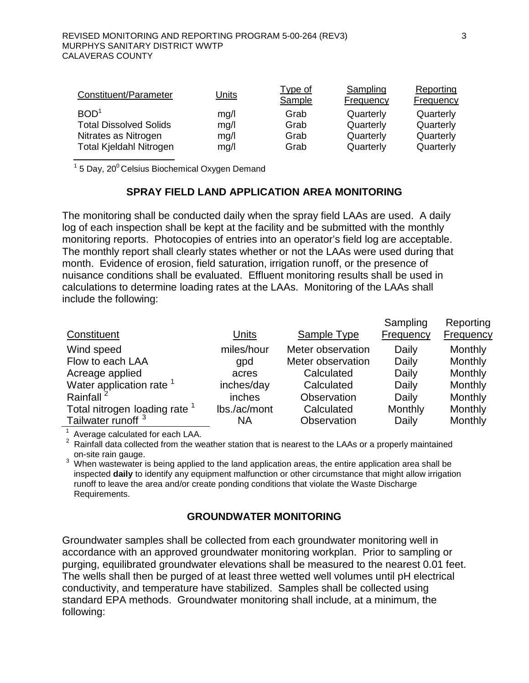| Constituent/Parameter          | Units | <u>Type of</u><br>Sample | Sampling<br><b>Frequency</b> | Reporting<br><b>Frequency</b> |
|--------------------------------|-------|--------------------------|------------------------------|-------------------------------|
| BOD <sup>1</sup>               | mg/l  | Grab                     | Quarterly                    | Quarterly                     |
| <b>Total Dissolved Solids</b>  | mg/l  | Grab                     | Quarterly                    | Quarterly                     |
| Nitrates as Nitrogen           | mg/l  | Grab                     | Quarterly                    | Quarterly                     |
| <b>Total Kjeldahl Nitrogen</b> | mg/l  | Grab                     | Quarterly                    | Quarterly                     |

 $1$  5 Day, 20 $0$  Celsius Biochemical Oxygen Demand

# **SPRAY FIELD LAND APPLICATION AREA MONITORING**

The monitoring shall be conducted daily when the spray field LAAs are used. A daily log of each inspection shall be kept at the facility and be submitted with the monthly monitoring reports. Photocopies of entries into an operator's field log are acceptable. The monthly report shall clearly states whether or not the LAAs were used during that month. Evidence of erosion, field saturation, irrigation runoff, or the presence of nuisance conditions shall be evaluated. Effluent monitoring results shall be used in calculations to determine loading rates at the LAAs. Monitoring of the LAAs shall include the following:

|                                          |              |                    | Sampling         | Reporting      |
|------------------------------------------|--------------|--------------------|------------------|----------------|
| Constituent                              | Units        | <b>Sample Type</b> | <b>Frequency</b> | Frequency      |
| Wind speed                               | miles/hour   | Meter observation  | Daily            | Monthly        |
| Flow to each LAA                         | gpd          | Meter observation  | Daily            | Monthly        |
| Acreage applied                          | acres        | Calculated         | Daily            | <b>Monthly</b> |
| Water application rate <sup>1</sup>      | inches/day   | Calculated         | Daily            | Monthly        |
| Rainfall <sup>2</sup>                    | inches       | Observation        | Daily            | Monthly        |
| Total nitrogen loading rate <sup>1</sup> | lbs./ac/mont | Calculated         | Monthly          | Monthly        |
| Tailwater runoff <sup>3</sup>            | ΝA           | Observation        | Daily            | Monthly        |

Average calculated for each LAA.

 $2$  Rainfall data collected from the weather station that is nearest to the LAAs or a properly maintained

on-site rain gauge.<br><sup>3</sup> When wastewater is being applied to the land application areas, the entire application area shall be inspected **daily** to identify any equipment malfunction or other circumstance that might allow irrigation runoff to leave the area and/or create ponding conditions that violate the Waste Discharge Requirements.

## **GROUNDWATER MONITORING**

Groundwater samples shall be collected from each groundwater monitoring well in accordance with an approved groundwater monitoring workplan. Prior to sampling or purging, equilibrated groundwater elevations shall be measured to the nearest 0.01 feet. The wells shall then be purged of at least three wetted well volumes until pH electrical conductivity, and temperature have stabilized. Samples shall be collected using standard EPA methods. Groundwater monitoring shall include, at a minimum, the following: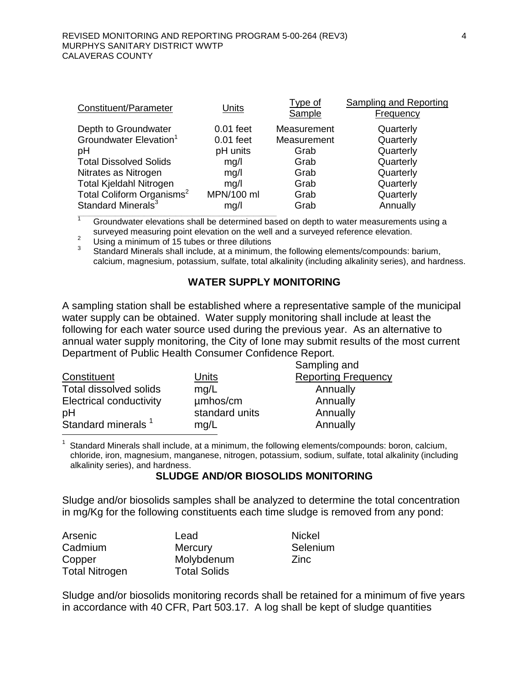| Units       | <b>Type of</b><br>Sample | <b>Sampling and Reporting</b><br>Frequency |
|-------------|--------------------------|--------------------------------------------|
| $0.01$ feet | Measurement              | Quarterly                                  |
| $0.01$ feet | Measurement              | Quarterly                                  |
| pH units    | Grab                     | Quarterly                                  |
| mg/l        | Grab                     | Quarterly                                  |
| mg/l        | Grab                     | Quarterly                                  |
| mq/l        | Grab                     | Quarterly                                  |
| MPN/100 ml  | Grab                     | Quarterly                                  |
| mg/l        | Grab                     | Annually                                   |
|             |                          |                                            |

 $\frac{1}{1}$  Groundwater elevations shall be determined based on depth to water measurements using a surveyed measuring point elevation on the well and a surveyed reference elevation.<br>Using a minimum of 15 tubes or three dilutions

<sup>2</sup> Using a minimum of 15 tubes or three dilutions<br><sup>3</sup> Standard Minerals shall include, at a minimum, the following elements/compounds: barium, calcium, magnesium, potassium, sulfate, total alkalinity (including alkalinity series), and hardness.

#### **WATER SUPPLY MONITORING**

A sampling station shall be established where a representative sample of the municipal water supply can be obtained. Water supply monitoring shall include at least the following for each water source used during the previous year. As an alternative to annual water supply monitoring, the City of Ione may submit results of the most current Department of Public Health Consumer Confidence Report. Sampling and

|                | Salipility and             |
|----------------|----------------------------|
| Units          | <b>Reporting Frequency</b> |
| mq/L           | Annually                   |
| umhos/cm       | Annually                   |
| standard units | Annually                   |
| mq/L           | Annually                   |
|                |                            |

<sup>1</sup> Standard Minerals shall include, at a minimum, the following elements/compounds: boron, calcium, chloride, iron, magnesium, manganese, nitrogen, potassium, sodium, sulfate, total alkalinity (including alkalinity series), and hardness.

#### **SLUDGE AND/OR BIOSOLIDS MONITORING**

Sludge and/or biosolids samples shall be analyzed to determine the total concentration in mg/Kg for the following constituents each time sludge is removed from any pond:

| Arsenic               | Lead                | <b>Nickel</b> |
|-----------------------|---------------------|---------------|
| Cadmium               | <b>Mercury</b>      | Selenium      |
| Copper                | Molybdenum          | <b>Zinc</b>   |
| <b>Total Nitrogen</b> | <b>Total Solids</b> |               |

Sludge and/or biosolids monitoring records shall be retained for a minimum of five years in accordance with 40 CFR, Part 503.17. A log shall be kept of sludge quantities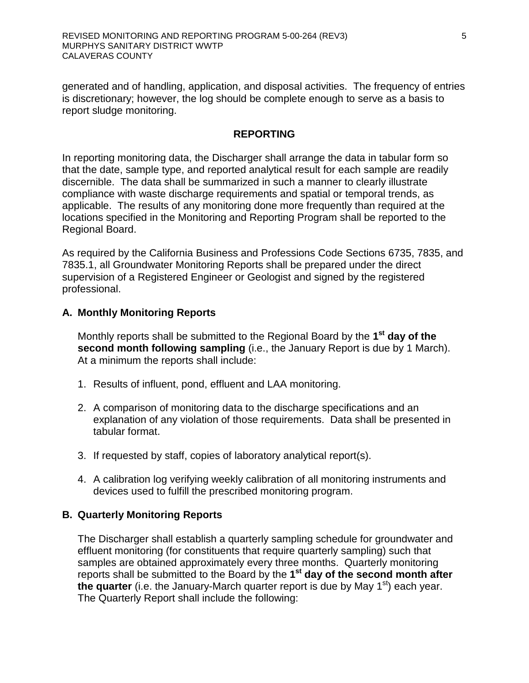generated and of handling, application, and disposal activities. The frequency of entries is discretionary; however, the log should be complete enough to serve as a basis to report sludge monitoring.

#### **REPORTING**

In reporting monitoring data, the Discharger shall arrange the data in tabular form so that the date, sample type, and reported analytical result for each sample are readily discernible. The data shall be summarized in such a manner to clearly illustrate compliance with waste discharge requirements and spatial or temporal trends, as applicable. The results of any monitoring done more frequently than required at the locations specified in the Monitoring and Reporting Program shall be reported to the Regional Board.

As required by the California Business and Professions Code Sections 6735, 7835, and 7835.1, all Groundwater Monitoring Reports shall be prepared under the direct supervision of a Registered Engineer or Geologist and signed by the registered professional.

## **A. Monthly Monitoring Reports**

Monthly reports shall be submitted to the Regional Board by the **1st day of the second month following sampling** (i.e., the January Report is due by 1 March). At a minimum the reports shall include:

- 1. Results of influent, pond, effluent and LAA monitoring.
- 2. A comparison of monitoring data to the discharge specifications and an explanation of any violation of those requirements. Data shall be presented in tabular format.
- 3. If requested by staff, copies of laboratory analytical report(s).
- 4. A calibration log verifying weekly calibration of all monitoring instruments and devices used to fulfill the prescribed monitoring program.

## **B. Quarterly Monitoring Reports**

The Discharger shall establish a quarterly sampling schedule for groundwater and effluent monitoring (for constituents that require quarterly sampling) such that samples are obtained approximately every three months. Quarterly monitoring reports shall be submitted to the Board by the **1st day of the second month after the quarter** (i.e. the January-March quarter report is due by May 1<sup>st</sup>) each year. The Quarterly Report shall include the following: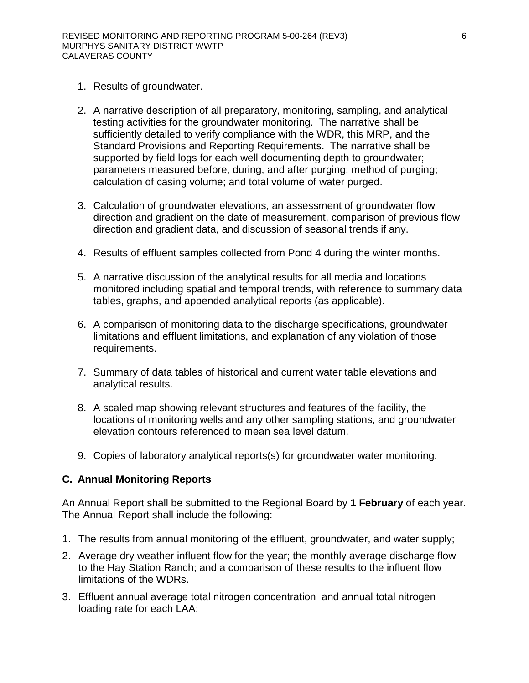- 1. Results of groundwater.
- 2. A narrative description of all preparatory, monitoring, sampling, and analytical testing activities for the groundwater monitoring. The narrative shall be sufficiently detailed to verify compliance with the WDR, this MRP, and the Standard Provisions and Reporting Requirements. The narrative shall be supported by field logs for each well documenting depth to groundwater; parameters measured before, during, and after purging; method of purging; calculation of casing volume; and total volume of water purged.
- 3. Calculation of groundwater elevations, an assessment of groundwater flow direction and gradient on the date of measurement, comparison of previous flow direction and gradient data, and discussion of seasonal trends if any.
- 4. Results of effluent samples collected from Pond 4 during the winter months.
- 5. A narrative discussion of the analytical results for all media and locations monitored including spatial and temporal trends, with reference to summary data tables, graphs, and appended analytical reports (as applicable).
- 6. A comparison of monitoring data to the discharge specifications, groundwater limitations and effluent limitations, and explanation of any violation of those requirements.
- 7. Summary of data tables of historical and current water table elevations and analytical results.
- 8. A scaled map showing relevant structures and features of the facility, the locations of monitoring wells and any other sampling stations, and groundwater elevation contours referenced to mean sea level datum.
- 9. Copies of laboratory analytical reports(s) for groundwater water monitoring.

## **C. Annual Monitoring Reports**

An Annual Report shall be submitted to the Regional Board by **1 February** of each year. The Annual Report shall include the following:

- 1. The results from annual monitoring of the effluent, groundwater, and water supply;
- 2. Average dry weather influent flow for the year; the monthly average discharge flow to the Hay Station Ranch; and a comparison of these results to the influent flow limitations of the WDRs.
- 3. Effluent annual average total nitrogen concentration and annual total nitrogen loading rate for each LAA;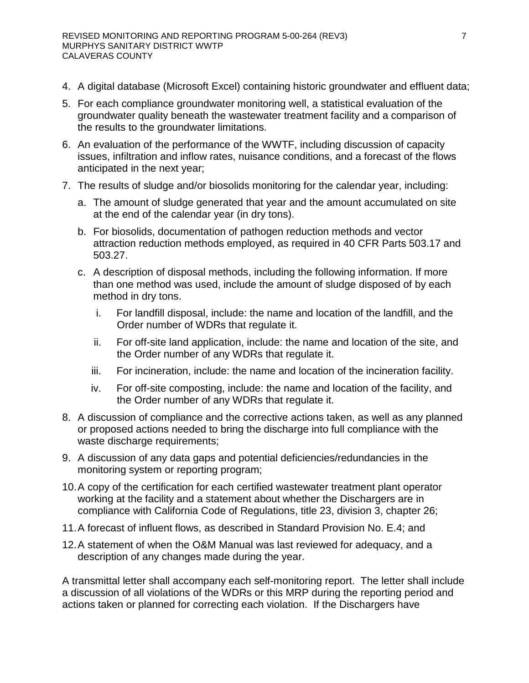- 4. A digital database (Microsoft Excel) containing historic groundwater and effluent data;
- 5. For each compliance groundwater monitoring well, a statistical evaluation of the groundwater quality beneath the wastewater treatment facility and a comparison of the results to the groundwater limitations.
- 6. An evaluation of the performance of the WWTF, including discussion of capacity issues, infiltration and inflow rates, nuisance conditions, and a forecast of the flows anticipated in the next year;
- 7. The results of sludge and/or biosolids monitoring for the calendar year, including:
	- a. The amount of sludge generated that year and the amount accumulated on site at the end of the calendar year (in dry tons).
	- b. For biosolids, documentation of pathogen reduction methods and vector attraction reduction methods employed, as required in 40 CFR Parts 503.17 and 503.27.
	- c. A description of disposal methods, including the following information. If more than one method was used, include the amount of sludge disposed of by each method in dry tons.
		- i. For landfill disposal, include: the name and location of the landfill, and the Order number of WDRs that regulate it.
		- ii. For off-site land application, include: the name and location of the site, and the Order number of any WDRs that regulate it.
		- iii. For incineration, include: the name and location of the incineration facility.
		- iv. For off-site composting, include: the name and location of the facility, and the Order number of any WDRs that regulate it.
- 8. A discussion of compliance and the corrective actions taken, as well as any planned or proposed actions needed to bring the discharge into full compliance with the waste discharge requirements;
- 9. A discussion of any data gaps and potential deficiencies/redundancies in the monitoring system or reporting program;
- 10.A copy of the certification for each certified wastewater treatment plant operator working at the facility and a statement about whether the Dischargers are in compliance with California Code of Regulations, title 23, division 3, chapter 26;
- 11.A forecast of influent flows, as described in Standard Provision No. E.4; and
- 12.A statement of when the O&M Manual was last reviewed for adequacy, and a description of any changes made during the year.

A transmittal letter shall accompany each self-monitoring report. The letter shall include a discussion of all violations of the WDRs or this MRP during the reporting period and actions taken or planned for correcting each violation. If the Dischargers have